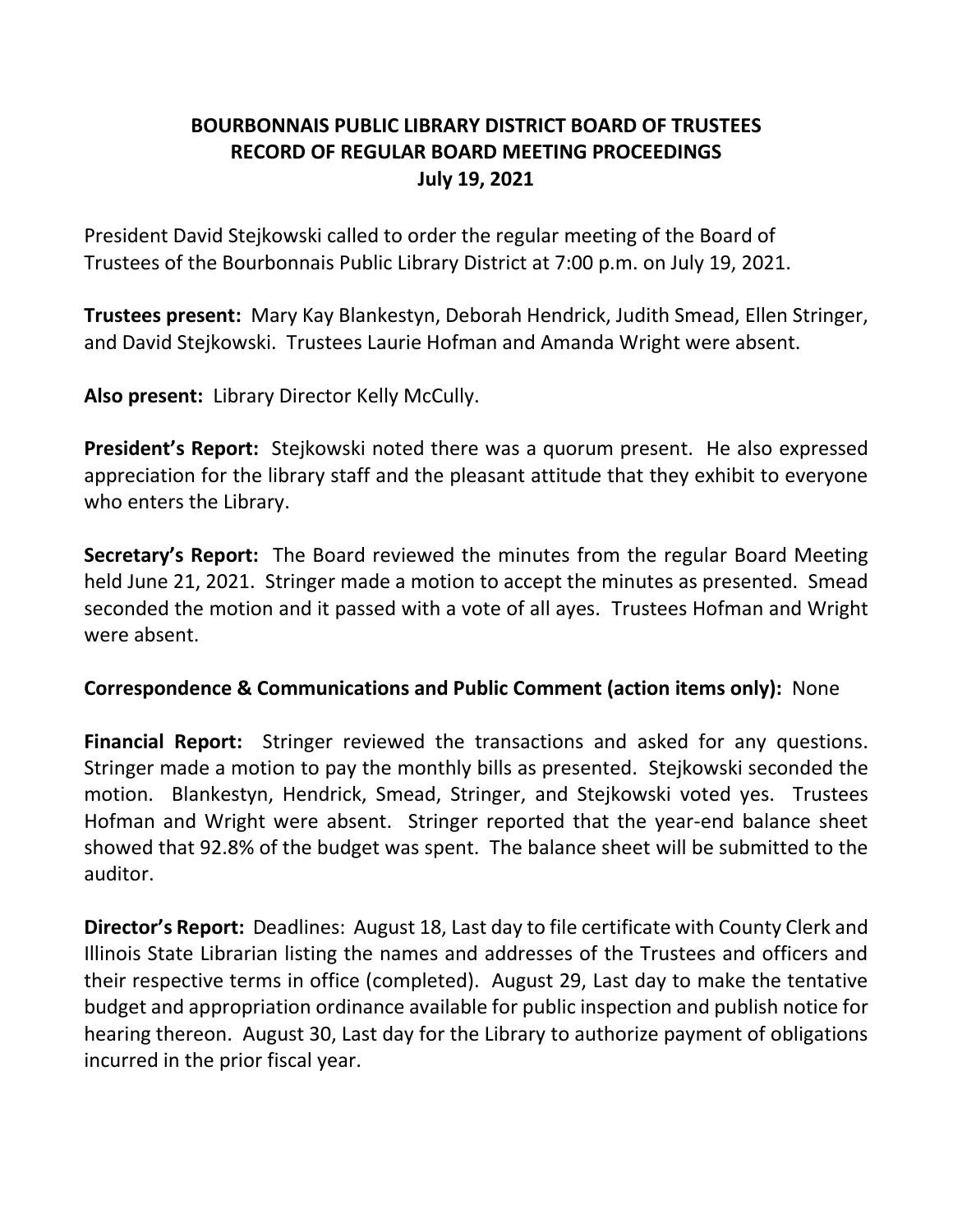# **BOURBONNAIS PUBLIC LIBRARY DISTRICT BOARD OF TRUSTEES RECORD OF REGULAR BOARD MEETING PROCEEDINGS July 19, 2021**

President David Stejkowski called to order the regular meeting of the Board of Trustees of the Bourbonnais Public Library District at 7:00 p.m. on July 19, 2021.

**Trustees present:** Mary Kay Blankestyn, Deborah Hendrick, Judith Smead, Ellen Stringer, and David Stejkowski. Trustees Laurie Hofman and Amanda Wright were absent.

**Also present:** Library Director Kelly McCully.

**President's Report:** Stejkowski noted there was a quorum present. He also expressed appreciation for the library staff and the pleasant attitude that they exhibit to everyone who enters the Library.

**Secretary's Report:** The Board reviewed the minutes from the regular Board Meeting held June 21, 2021. Stringer made a motion to accept the minutes as presented. Smead seconded the motion and it passed with a vote of all ayes. Trustees Hofman and Wright were absent.

#### **Correspondence & Communications and Public Comment (action items only):** None

**Financial Report:** Stringer reviewed the transactions and asked for any questions. Stringer made a motion to pay the monthly bills as presented. Stejkowski seconded the motion. Blankestyn, Hendrick, Smead, Stringer, and Stejkowski voted yes. Trustees Hofman and Wright were absent. Stringer reported that the year-end balance sheet showed that 92.8% of the budget was spent. The balance sheet will be submitted to the auditor.

**Director's Report:** Deadlines: August 18, Last day to file certificate with County Clerk and Illinois State Librarian listing the names and addresses of the Trustees and officers and their respective terms in office (completed). August 29, Last day to make the tentative budget and appropriation ordinance available for public inspection and publish notice for hearing thereon. August 30, Last day for the Library to authorize payment of obligations incurred in the prior fiscal year.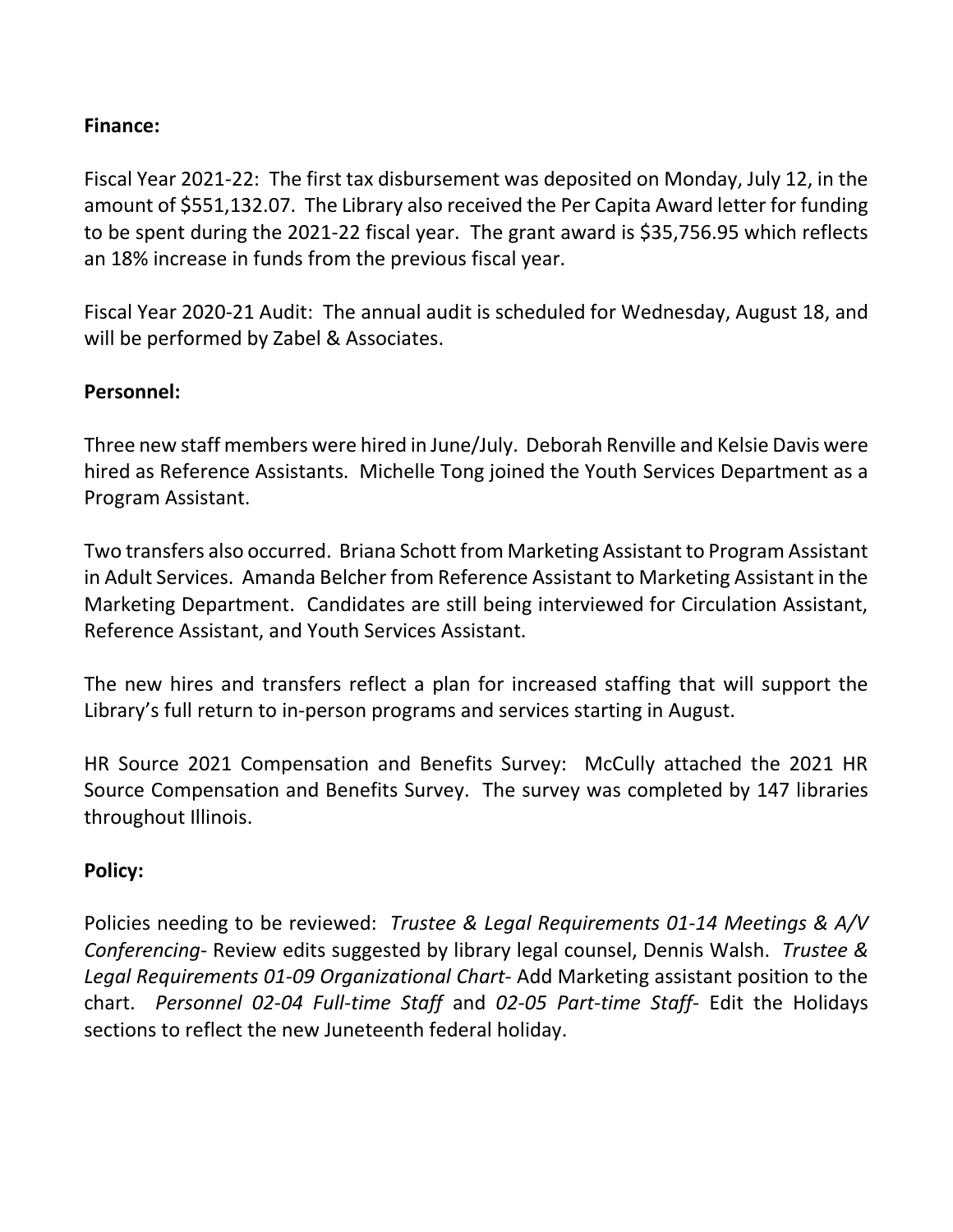## **Finance:**

Fiscal Year 2021-22: The first tax disbursement was deposited on Monday, July 12, in the amount of \$551,132.07. The Library also received the Per Capita Award letter for funding to be spent during the 2021-22 fiscal year. The grant award is \$35,756.95 which reflects an 18% increase in funds from the previous fiscal year.

Fiscal Year 2020-21 Audit: The annual audit is scheduled for Wednesday, August 18, and will be performed by Zabel & Associates.

#### **Personnel:**

Three new staff members were hired in June/July. Deborah Renville and Kelsie Davis were hired as Reference Assistants. Michelle Tong joined the Youth Services Department as a Program Assistant.

Two transfers also occurred. Briana Schott from Marketing Assistant to Program Assistant in Adult Services. Amanda Belcher from Reference Assistant to Marketing Assistant in the Marketing Department. Candidates are still being interviewed for Circulation Assistant, Reference Assistant, and Youth Services Assistant.

The new hires and transfers reflect a plan for increased staffing that will support the Library's full return to in-person programs and services starting in August.

HR Source 2021 Compensation and Benefits Survey: McCully attached the 2021 HR Source Compensation and Benefits Survey. The survey was completed by 147 libraries throughout Illinois.

#### **Policy:**

Policies needing to be reviewed: *Trustee & Legal Requirements 01-14 Meetings & A/V Conferencing*- Review edits suggested by library legal counsel, Dennis Walsh. *Trustee & Legal Requirements 01-09 Organizational Chart*- Add Marketing assistant position to the chart. *Personnel 02-04 Full-time Staff* and *02-05 Part-time Staff*- Edit the Holidays sections to reflect the new Juneteenth federal holiday.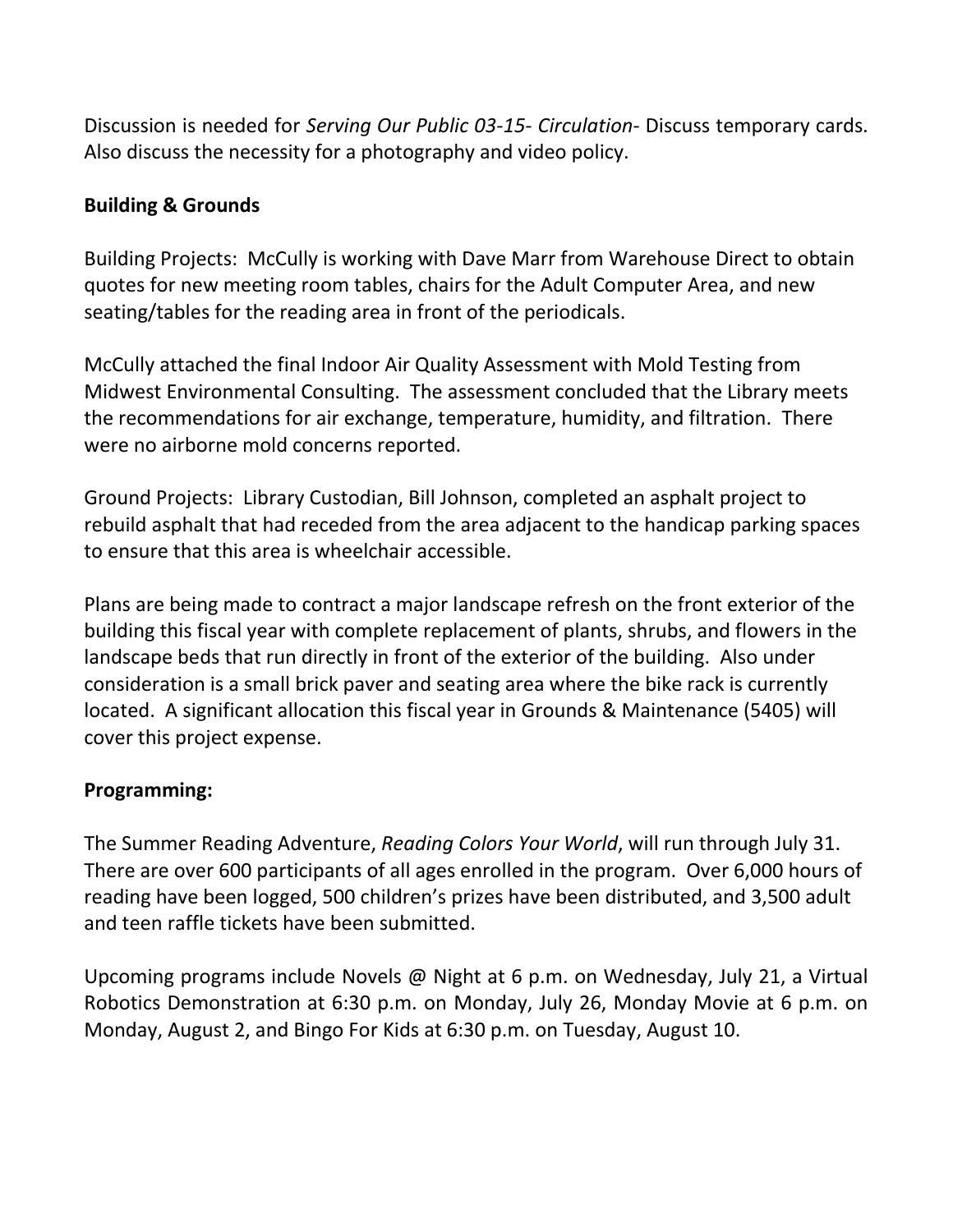Discussion is needed for *Serving Our Public 03-15- Circulation*- Discuss temporary cards. Also discuss the necessity for a photography and video policy.

### **Building & Grounds**

Building Projects: McCully is working with Dave Marr from Warehouse Direct to obtain quotes for new meeting room tables, chairs for the Adult Computer Area, and new seating/tables for the reading area in front of the periodicals.

McCully attached the final Indoor Air Quality Assessment with Mold Testing from Midwest Environmental Consulting. The assessment concluded that the Library meets the recommendations for air exchange, temperature, humidity, and filtration. There were no airborne mold concerns reported.

Ground Projects: Library Custodian, Bill Johnson, completed an asphalt project to rebuild asphalt that had receded from the area adjacent to the handicap parking spaces to ensure that this area is wheelchair accessible.

Plans are being made to contract a major landscape refresh on the front exterior of the building this fiscal year with complete replacement of plants, shrubs, and flowers in the landscape beds that run directly in front of the exterior of the building. Also under consideration is a small brick paver and seating area where the bike rack is currently located. A significant allocation this fiscal year in Grounds & Maintenance (5405) will cover this project expense.

#### **Programming:**

The Summer Reading Adventure, *Reading Colors Your World*, will run through July 31. There are over 600 participants of all ages enrolled in the program. Over 6,000 hours of reading have been logged, 500 children's prizes have been distributed, and 3,500 adult and teen raffle tickets have been submitted.

Upcoming programs include Novels @ Night at 6 p.m. on Wednesday, July 21, a Virtual Robotics Demonstration at 6:30 p.m. on Monday, July 26, Monday Movie at 6 p.m. on Monday, August 2, and Bingo For Kids at 6:30 p.m. on Tuesday, August 10.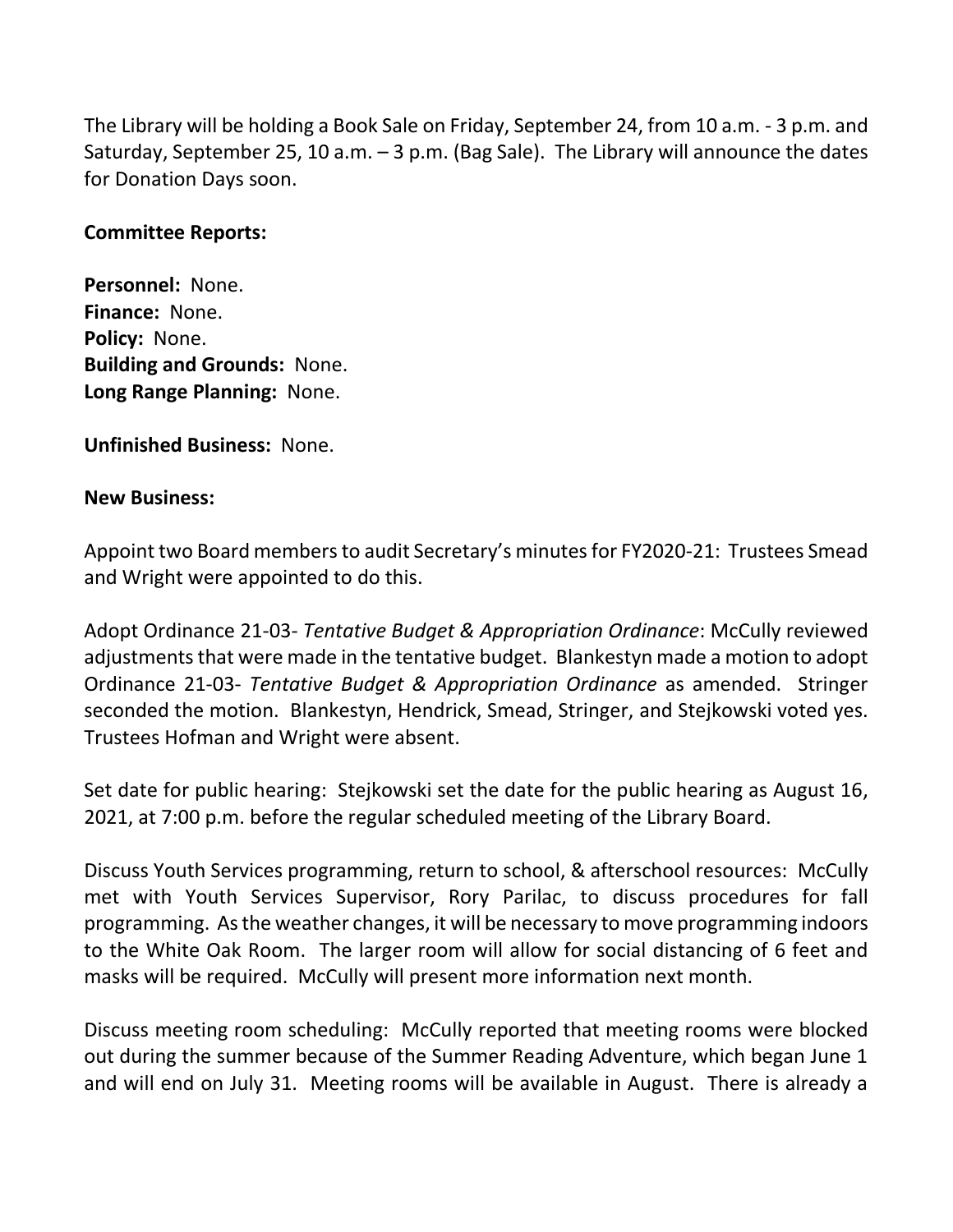The Library will be holding a Book Sale on Friday, September 24, from 10 a.m. - 3 p.m. and Saturday, September 25, 10 a.m. – 3 p.m. (Bag Sale). The Library will announce the dates for Donation Days soon.

#### **Committee Reports:**

**Personnel:** None. **Finance:** None. **Policy:** None. **Building and Grounds:** None. **Long Range Planning:** None.

**Unfinished Business:** None.

#### **New Business:**

Appoint two Board members to audit Secretary's minutes for FY2020-21: Trustees Smead and Wright were appointed to do this.

Adopt Ordinance 21-03- *Tentative Budget & Appropriation Ordinance*: McCully reviewed adjustments that were made in the tentative budget. Blankestyn made a motion to adopt Ordinance 21-03- *Tentative Budget & Appropriation Ordinance* as amended. Stringer seconded the motion. Blankestyn, Hendrick, Smead, Stringer, and Stejkowski voted yes. Trustees Hofman and Wright were absent.

Set date for public hearing: Stejkowski set the date for the public hearing as August 16, 2021, at 7:00 p.m. before the regular scheduled meeting of the Library Board.

Discuss Youth Services programming, return to school, & afterschool resources: McCully met with Youth Services Supervisor, Rory Parilac, to discuss procedures for fall programming. As the weather changes, it will be necessary to move programming indoors to the White Oak Room. The larger room will allow for social distancing of 6 feet and masks will be required. McCully will present more information next month.

Discuss meeting room scheduling: McCully reported that meeting rooms were blocked out during the summer because of the Summer Reading Adventure, which began June 1 and will end on July 31. Meeting rooms will be available in August. There is already a